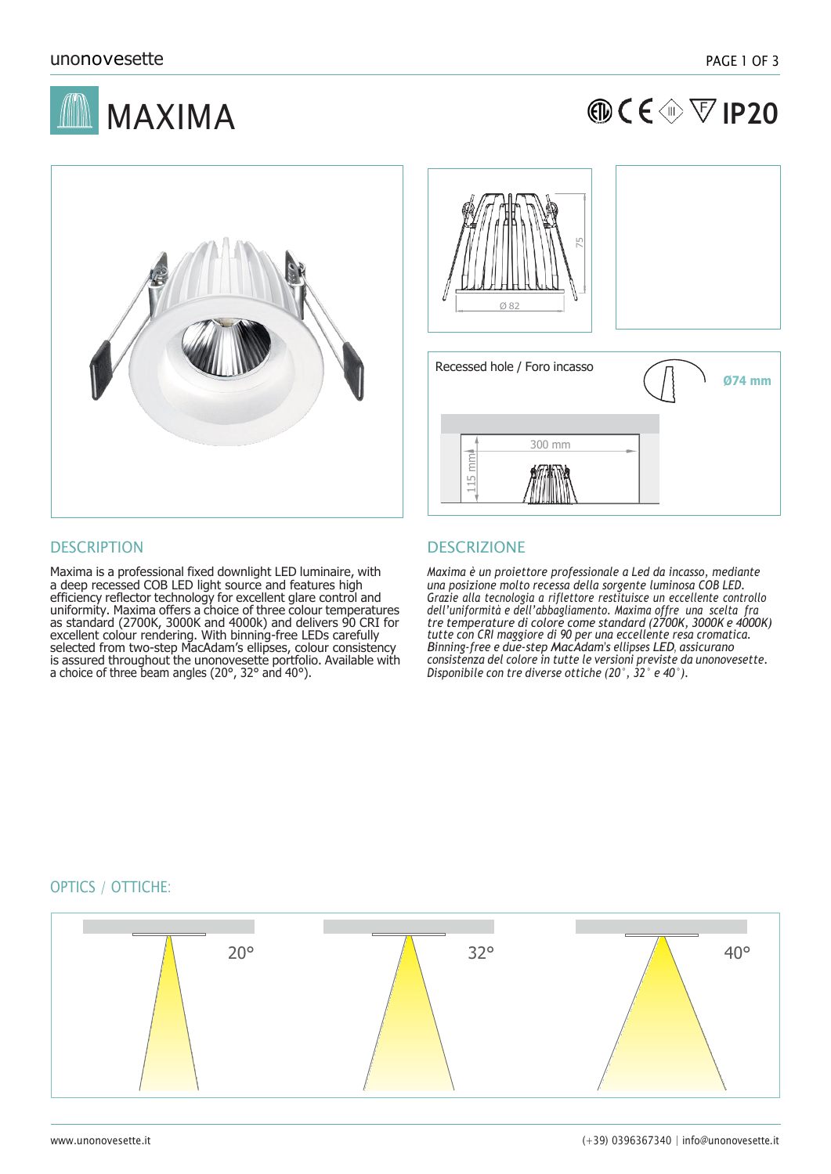

| $\circledR C \in \circledR \nabla$  P20 |  |  |
|-----------------------------------------|--|--|
|-----------------------------------------|--|--|





Maxima is a professional fixed downlight LED luminaire, with a deep recessed COB LED light source and features high efficiency reflector technology for excellent glare control and uniformity. Maxima offers a choice of three colour temperatures as standard (2700K, 3000K and 4000k) and delivers 90 CRI for excellent colour rendering. With binning-free LEDs carefully selected from two-step MacAdam's ellipses, colour consistency is assured throughout the unonovesette portfolio. Available with a choice of three beam angles (20°, 32° and 40°).

# DESCRIPTION DESCRIZIONE

*Maxima è un proiettore professionale a Led da incasso, mediante una posizione molto recessa della sorgente luminosa COB LED. Grazie alla tecnologia a riflettore restituisce un eccellente controllo dell'uniformità e dell'abbagliamento. Maxima offre una scelta fra tre temperature di colore come standard (2700K, 3000K e 4000K)* tutte con CRI maggiore di 90 per una eccellente resa cromatica.<br>Binning-free e due-step MacAdam's ellipses LED, assicurano *consistenza del colore in tutte le versioni previste da unonovesette. Disponibile con tre diverse ottiche (20°, 32° e 40°).*

## OPTICS / OTTICHE:

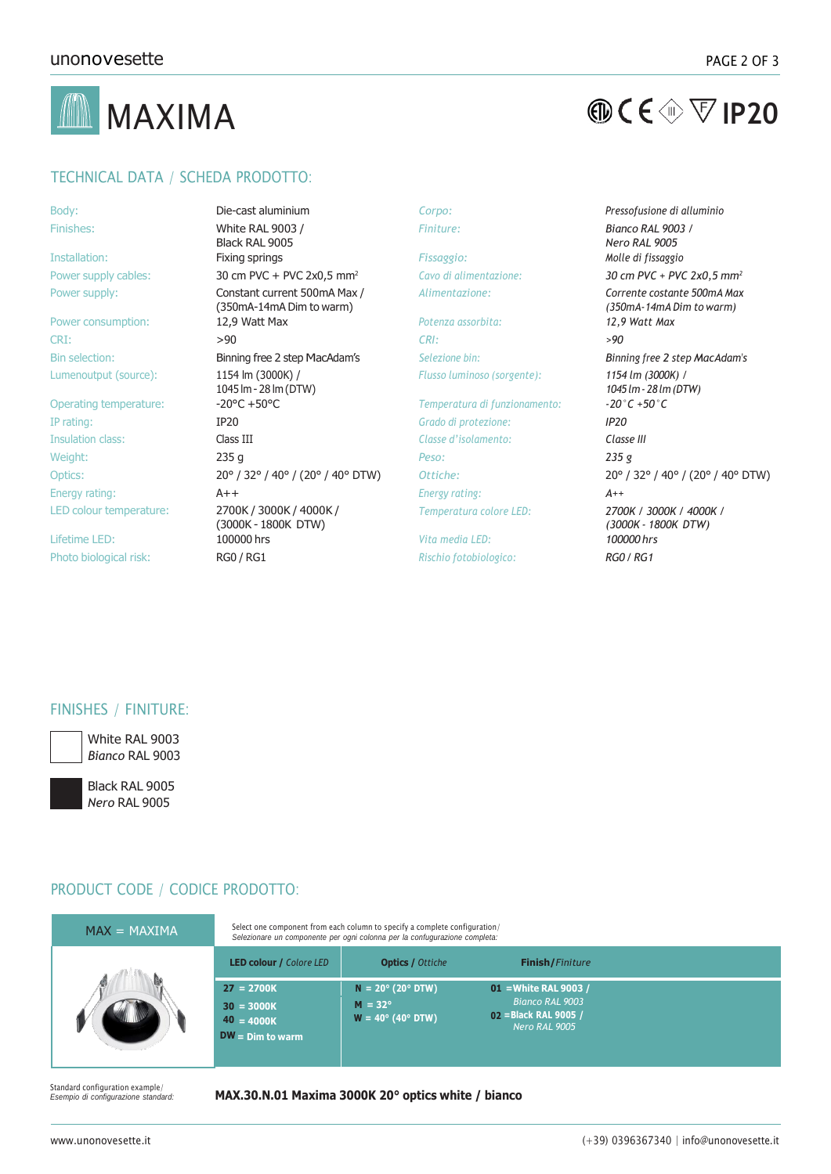



## TECHNICAL DATA / SCHEDA PRODOTTO:

| ٠<br>×<br>. .<br>٠<br>×<br>×       |
|------------------------------------|
| and the control of the con-<br>- - |

Lumenoutput (source): 1154 lm (3000K) /

Body: Die-cast aluminium *Corpo: Pressofusione di alluminio* White RAL 9003 / Black RAL 9005 Installation: Fixing springs *Fissaggio: Molle di fissaggio* Power supply cables: 30 cm PVC + PVC 2x0,5 mm<sup>2</sup> *Cavo di alimentazione: 30 cm PVC + PVC 2x0,5 mm<sup>2</sup>* Power supply: Constant current 500mA Max / (350mA-14mA Dim to warm) Power consumption: 12,9 Watt Max *Potenza assorbita: 12,9 Watt Max* CRI: >90 *CRI: >90* Bin selection: Binning free 2 step MacAdam's *Selezione bin: Binning free 2 step MacAdam's* 1045 lm - 28 lm (DTW)<br>-20°C +50°C Operating temperature: -20°C +50°C *Temperatura di funzionamento: -20°C +50°C* IP rating: IP20 *Grado di protezione: IP20* Insulation class: Class III *Classe d'isolamento: Classe III* Weight: 235 g *Peso: 235 g* Energy rating: A++ *Energy rating: A++* LED colour temperature: 2700K / 3000K / 4000K / (3000K - 1800K DTW) Lifetime LED: 100000 hrs *Vita media LED: 100000 hrs* Photo biological risk: RG0 / RG1 *Rischio fotobiologico: RG0 / RG1*

*Flusso luminoso (sorgente): 1154 lm (3000K) /*

*Temperatura colore LED: 2700K / 3000K / 4000K /*

*Finiture: Bianco RAL 9003 / Nero RAL 9005 Alimentazione: Corrente costante 500mA Max (350mA-14mA Dim to warm) 1045lm- 28lm (DTW)* Optics: 20° / 32° / 40° / (20° / 40° DTW) *Ottiche:* 20° / 32° / 40° / (20° / 40° DTW) *(3000K - 1800K DTW)*

## FINISHES / FINITURE:



White RAL 9003 *Bianco* RAL 9003

Black RAL 9005 *Nero* RAL 9005

## PRODUCT CODE / CODICE PRODOTTO:

| $MAX = MAXIMA$ | Select one component from each column to specify a complete configuration/<br>Selezionare un componente per ogni colonna per la confugurazione completa: |                                                                                          |                                                                                    |  |  |
|----------------|----------------------------------------------------------------------------------------------------------------------------------------------------------|------------------------------------------------------------------------------------------|------------------------------------------------------------------------------------|--|--|
|                | <b>LED colour / Colore LED</b>                                                                                                                           | <b>Optics / Ottiche</b>                                                                  | <b>Finish/Finiture</b>                                                             |  |  |
|                | $27 = 2700K$<br>$30 = 3000K$<br>$40 = 4000K$<br>$DW = Dim to warm$                                                                                       | $N = 20^{\circ} (20^{\circ} DTW)$<br>$M = 32^\circ$<br>$W = 40^{\circ} (40^{\circ}$ DTW) | 01 = White RAL 9003 /<br>Bianco RAL 9003<br>02 = Black RAL 9005 /<br>Nero RAL 9005 |  |  |

Standard configuration example/<br>Esempio di configurazione standard.

### *Esempio di configurazione standard:* **MAX.30.N.01 Maxima 3000K 20° optics white / bianco**